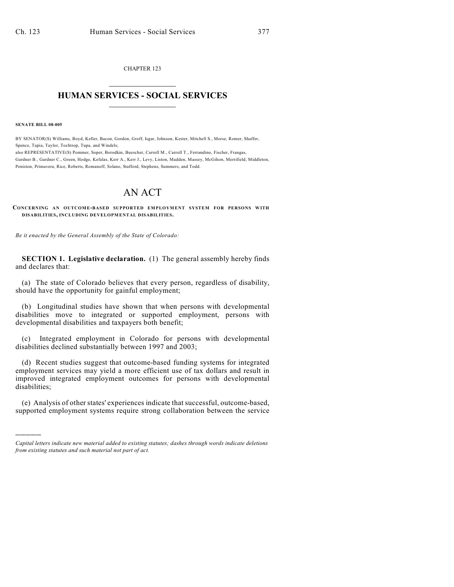CHAPTER 123  $\mathcal{L}_\text{max}$  . The set of the set of the set of the set of the set of the set of the set of the set of the set of the set of the set of the set of the set of the set of the set of the set of the set of the set of the set

## **HUMAN SERVICES - SOCIAL SERVICES**  $\frac{1}{2}$  ,  $\frac{1}{2}$  ,  $\frac{1}{2}$  ,  $\frac{1}{2}$  ,  $\frac{1}{2}$  ,  $\frac{1}{2}$  ,  $\frac{1}{2}$

**SENATE BILL 08-005**

)))))

BY SENATOR(S) Williams, Boyd, Keller, Bacon, Gordon, Groff, Isgar, Johnson, Kester, Mitchell S., Morse, Romer, Shaffer, Spence, Tapia, Taylor, Tochtrop, Tupa, and Windels; also REPRESENTATIVE(S) Pommer, Soper, Borodkin, Buescher, Carroll M., Carroll T., Ferrandino, Fischer, Frangas, Gardner B., Gardner C., Green, Hodge, Kefalas, Kerr A., Kerr J., Levy, Liston, Madden, Massey, McGihon, Merrifield, Middleton, Peniston, Primavera, Rice, Roberts, Romanoff, Solano, Stafford, Stephens, Summers, and Todd.

## AN ACT

**CONCERNING AN OUTCOM E-BASED SUPPORTED EMPLOYMENT SYSTEM FOR PERSONS WITH DISABILITIES, INCLUDING DEVELOPMENTAL DISABILITIES.**

*Be it enacted by the General Assembly of the State of Colorado:*

**SECTION 1. Legislative declaration.** (1) The general assembly hereby finds and declares that:

(a) The state of Colorado believes that every person, regardless of disability, should have the opportunity for gainful employment;

(b) Longitudinal studies have shown that when persons with developmental disabilities move to integrated or supported employment, persons with developmental disabilities and taxpayers both benefit;

(c) Integrated employment in Colorado for persons with developmental disabilities declined substantially between 1997 and 2003;

(d) Recent studies suggest that outcome-based funding systems for integrated employment services may yield a more efficient use of tax dollars and result in improved integrated employment outcomes for persons with developmental disabilities;

(e) Analysis of other states' experiences indicate that successful, outcome-based, supported employment systems require strong collaboration between the service

*Capital letters indicate new material added to existing statutes; dashes through words indicate deletions from existing statutes and such material not part of act.*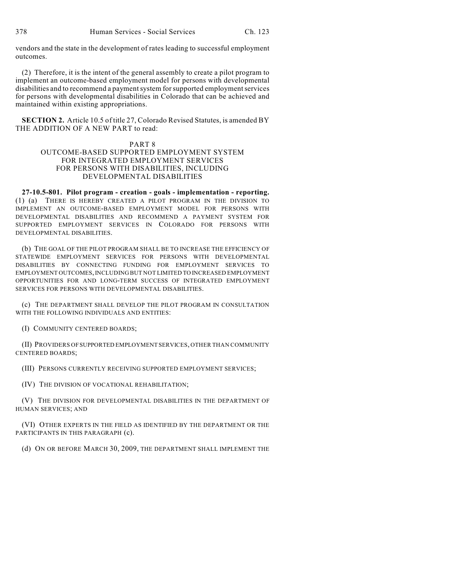vendors and the state in the development of rates leading to successful employment outcomes.

(2) Therefore, it is the intent of the general assembly to create a pilot program to implement an outcome-based employment model for persons with developmental disabilities and to recommend a payment system for supported employment services for persons with developmental disabilities in Colorado that can be achieved and maintained within existing appropriations.

**SECTION 2.** Article 10.5 of title 27, Colorado Revised Statutes, is amended BY THE ADDITION OF A NEW PART to read:

## PART 8

## OUTCOME-BASED SUPPORTED EMPLOYMENT SYSTEM FOR INTEGRATED EMPLOYMENT SERVICES FOR PERSONS WITH DISABILITIES, INCLUDING DEVELOPMENTAL DISABILITIES

**27-10.5-801. Pilot program - creation - goals - implementation - reporting.** (1) (a) THERE IS HEREBY CREATED A PILOT PROGRAM IN THE DIVISION TO IMPLEMENT AN OUTCOME-BASED EMPLOYMENT MODEL FOR PERSONS WITH DEVELOPMENTAL DISABILITIES AND RECOMMEND A PAYMENT SYSTEM FOR SUPPORTED EMPLOYMENT SERVICES IN COLORADO FOR PERSONS WITH DEVELOPMENTAL DISABILITIES.

(b) THE GOAL OF THE PILOT PROGRAM SHALL BE TO INCREASE THE EFFICIENCY OF STATEWIDE EMPLOYMENT SERVICES FOR PERSONS WITH DEVELOPMENTAL DISABILITIES BY CONNECTING FUNDING FOR EMPLOYMENT SERVICES TO EMPLOYMENT OUTCOMES, INCLUDING BUT NOT LIMITED TO INCREASED EMPLOYMENT OPPORTUNITIES FOR AND LONG-TERM SUCCESS OF INTEGRATED EMPLOYMENT SERVICES FOR PERSONS WITH DEVELOPMENTAL DISABILITIES.

(c) THE DEPARTMENT SHALL DEVELOP THE PILOT PROGRAM IN CONSULTATION WITH THE FOLLOWING INDIVIDUALS AND ENTITIES:

(I) COMMUNITY CENTERED BOARDS;

(II) PROVIDERS OF SUPPORTED EMPLOYMENT SERVICES, OTHER THAN COMMUNITY CENTERED BOARDS;

(III) PERSONS CURRENTLY RECEIVING SUPPORTED EMPLOYMENT SERVICES;

(IV) THE DIVISION OF VOCATIONAL REHABILITATION;

(V) THE DIVISION FOR DEVELOPMENTAL DISABILITIES IN THE DEPARTMENT OF HUMAN SERVICES; AND

(VI) OTHER EXPERTS IN THE FIELD AS IDENTIFIED BY THE DEPARTMENT OR THE PARTICIPANTS IN THIS PARAGRAPH (c).

(d) ON OR BEFORE MARCH 30, 2009, THE DEPARTMENT SHALL IMPLEMENT THE